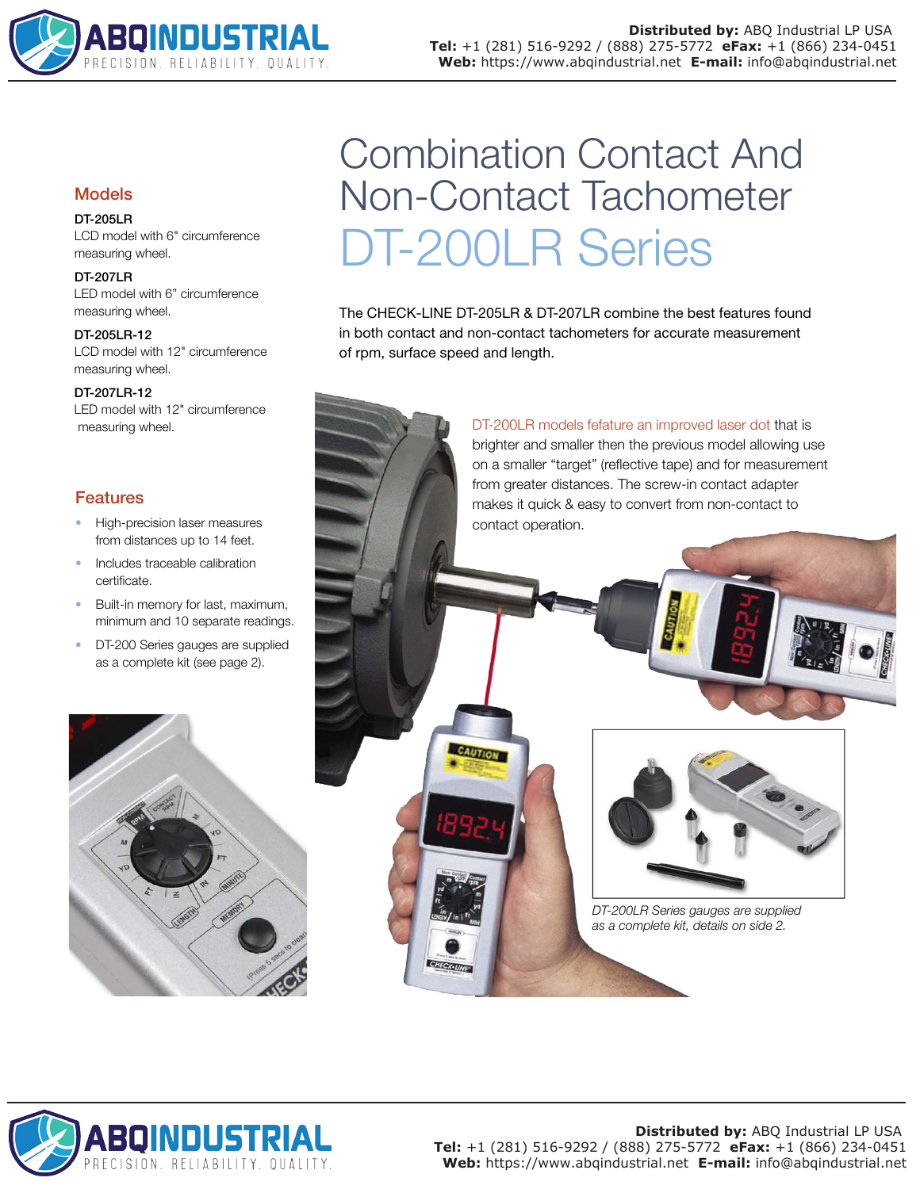

# Models

## DT-205LR

LCD model with 6" circumference measuring wheel.

### DT-207LR

LED model with 6" circumference measuring wheel.

DT-205LR-12 LCD model with 12" circumference measuring wheel.

DT-207LR-12

LED model with 12" circumference

# Features

- High-precision laser measures from distances up to 14 feet.
- Includes traceable calibration certificate.
- Built-in memory for last, maximum, minimum and 10 separate readings.
- DT-200 Series gauges are supplied as a complete kit (see page 2).



# Combination Contact And Non-Contact Tachometer DT-200LR Series

The CHECK-LINE DT-205LR & DT-207LR combine the best features found in both contact and non-contact tachometers for accurate measurement of rpm, surface speed and length.